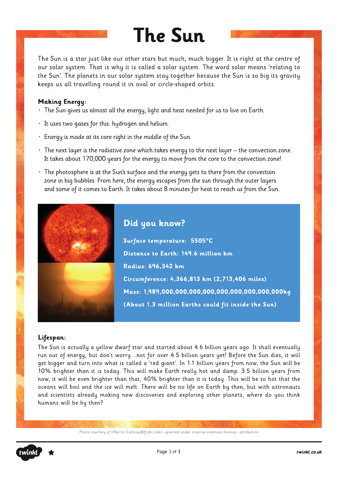# **The Sun**

The Sun is a star just like our other stars but much, much bigger. It is right at the centre of our solar system. That is why it is called a solar system. The word solar means 'relating to the Sun'. The planets in our solar system stay together because the Sun is so big its gravity keeps us all travelling round it in oval or circle-shaped orbits.

#### **Making Energy:**

- The Sun gives us almost all the energy, light and heat needed for us to live on Earth.
- It uses two gases for this: hydrogen and helium.
- Energy is made at its core right in the middle of the Sun.
- $\cdot$  The next layer is the radiative zone which takes energy to the next layer the convection zone. It takes about 170,000 years for the energy to move from the core to the convection zone!
- The photosphere is at the Sun's surface and the energy gets to there from the convection zone in big bubbles. From here, the energy escapes from the sun through the outer layers and some of it comes to Earth. It takes about 8 minutes for heat to reach us from the Sun.



### Lifespan:

The Sun is actually a yellow dwarf star and started about 4.6 billion years ago. It shall eventually run out of energy, but don't worry...not for over 4.5 billion years yet! Before the Sun dies, it will get bigger and turn into what is called a 'red giant'. In 1.1 billion years from now, the Sun will be 10% brighter than it is today. This will make Earth really hot and damp. 3.5 billion years from now, it will be even brighter than that, 40% brighter than it is today. This will be so hot that the oceans will boil and the ice will melt. There will be no life on Earth by then, but with astronauts and scientists already making new discoveries and exploring other planets, where do you think humans will be by then?

Photo courtesy of (Martin Cathrae@flickr.com) - granted under creative commons licence - attribution

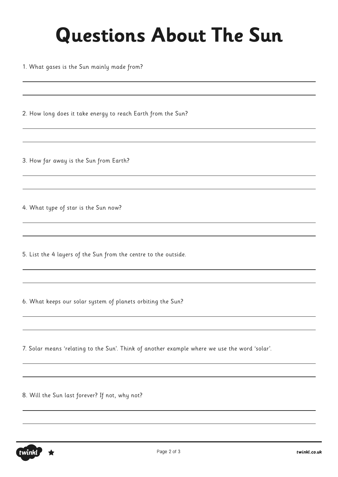# **Questions About The Sun**

1. What gases is the Sun mainly made from?

2. How long does it take energy to reach Earth from the Sun?

3. How far away is the Sun from Earth?

4. What type of star is the Sun now?

5. List the 4 layers of the Sun from the centre to the outside.

6. What keeps our solar system of planets orbiting the Sun?

7. Solar means 'relating to the Sun'. Think of another example where we use the word 'solar'.

8. Will the Sun last forever? If not, why not?

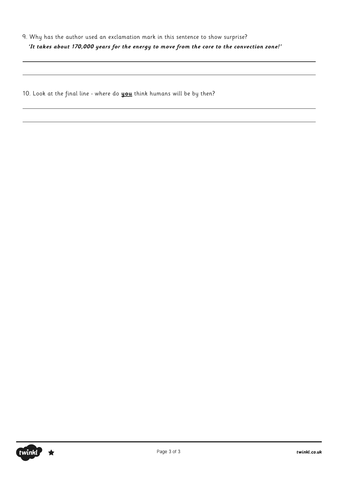10. Look at the final line - where do **you** think humans will be by then?